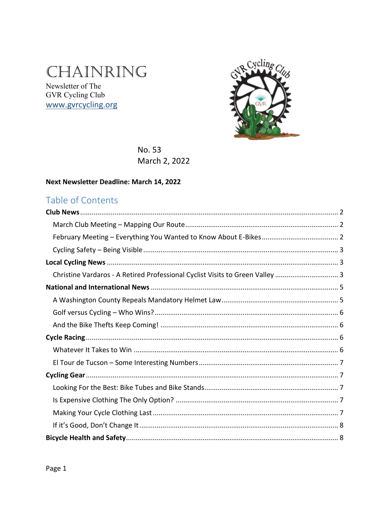# CHAINRING

Newsletter of The GVR Cycling Club www.gvrcycling.org



No. 53 March 2, 2022

### Next Newsletter Deadline: March 14, 2022

### Table of Contents

| Christine Vardaros - A Retired Professional Cyclist Visits to Green Valley  3 |  |
|-------------------------------------------------------------------------------|--|
|                                                                               |  |
|                                                                               |  |
|                                                                               |  |
|                                                                               |  |
|                                                                               |  |
|                                                                               |  |
|                                                                               |  |
|                                                                               |  |
|                                                                               |  |
|                                                                               |  |
|                                                                               |  |
|                                                                               |  |
|                                                                               |  |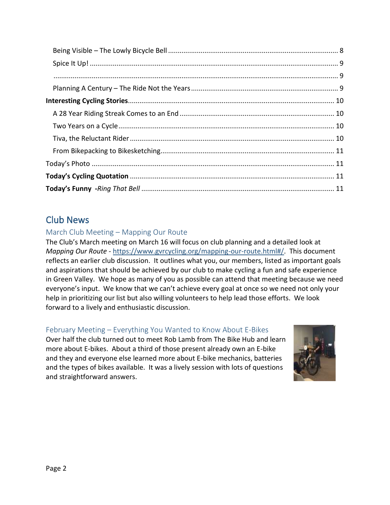| $. 9$ |  |
|-------|--|
|       |  |
|       |  |
|       |  |
|       |  |
|       |  |
|       |  |
|       |  |
|       |  |
|       |  |

### <span id="page-1-0"></span>Club News

### <span id="page-1-1"></span>March Club Meeting – Mapping Our Route

The Club's March meeting on March 16 will focus on club planning and a detailed look at *Mapping Our Route* - [https://www.gvrcycling.org/mapping-our-route.html#/.](https://www.gvrcycling.org/mapping-our-route.html#/) This document reflects an earlier club discussion. It outlines what you, our members, listed as important goals and aspirations that should be achieved by our club to make cycling a fun and safe experience in Green Valley. We hope as many of you as possible can attend that meeting because we need everyone's input. We know that we can't achieve every goal at once so we need not only your help in prioritizing our list but also willing volunteers to help lead those efforts. We look forward to a lively and enthusiastic discussion.

### <span id="page-1-2"></span>February Meeting – Everything You Wanted to Know About E-Bikes

Over half the club turned out to meet Rob Lamb from The Bike Hub and learn more about E-bikes. About a third of those present already own an E-bike and they and everyone else learned more about E-bike mechanics, batteries and the types of bikes available. It was a lively session with lots of questions and straightforward answers.

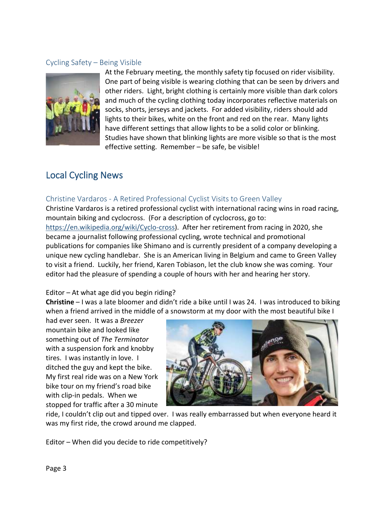### <span id="page-2-0"></span>Cycling Safety – Being Visible



At the February meeting, the monthly safety tip focused on rider visibility. One part of being visible is wearing clothing that can be seen by drivers and other riders. Light, bright clothing is certainly more visible than dark colors and much of the cycling clothing today incorporates reflective materials on socks, shorts, jerseys and jackets. For added visibility, riders should add lights to their bikes, white on the front and red on the rear. Many lights have different settings that allow lights to be a solid color or blinking. Studies have shown that blinking lights are more visible so that is the most effective setting. Remember – be safe, be visible!

### <span id="page-2-1"></span>Local Cycling News

### <span id="page-2-2"></span>Christine Vardaros - A Retired Professional Cyclist Visits to Green Valley

Christine Vardaros is a retired professional cyclist with international racing wins in road racing, mountain biking and cyclocross. (For a description of cyclocross, go to: [https://en.wikipedia.org/wiki/Cyclo-cross\)](https://en.wikipedia.org/wiki/Cyclo-cross). After her retirement from racing in 2020, she became a journalist following professional cycling, wrote technical and promotional publications for companies like Shimano and is currently president of a company developing a unique new cycling handlebar. She is an American living in Belgium and came to Green Valley to visit a friend. Luckily, her friend, Karen Tobiason, let the club know she was coming. Your editor had the pleasure of spending a couple of hours with her and hearing her story.

#### Editor – At what age did you begin riding?

**Christine** – I was a late bloomer and didn't ride a bike until I was 24. I was introduced to biking when a friend arrived in the middle of a snowstorm at my door with the most beautiful bike I

had ever seen. It was a *Breezer*  mountain bike and looked like something out of *The Terminator* with a suspension fork and knobby tires. I was instantly in love. I ditched the guy and kept the bike. My first real ride was on a New York bike tour on my friend's road bike with clip-in pedals. When we stopped for traffic after a 30 minute



ride, I couldn't clip out and tipped over. I was really embarrassed but when everyone heard it was my first ride, the crowd around me clapped.

Editor – When did you decide to ride competitively?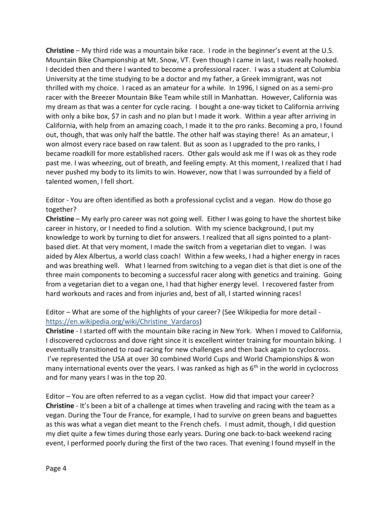**Christine** – My third ride was a mountain bike race. I rode in the beginner's event at the U.S. Mountain Bike Championship at Mt. Snow, VT. Even though I came in last, I was really hooked. I decided then and there I wanted to become a professional racer. I was a student at Columbia University at the time studying to be a doctor and my father, a Greek immigrant, was not thrilled with my choice. I raced as an amateur for a while. In 1996, I signed on as a semi-pro racer with the Breezer Mountain Bike Team while still in Manhattan. However, California was my dream as that was a center for cycle racing. I bought a one-way ticket to California arriving with only a bike box, \$7 in cash and no plan but I made it work. Within a year after arriving in California, with help from an amazing coach, I made it to the pro ranks. Becoming a pro, I found out, though, that was only half the battle. The other half was staying there! As an amateur, I won almost every race based on raw talent. But as soon as I upgraded to the pro ranks, I became roadkill for more established racers. Other gals would ask me if I was ok as they rode past me. I was wheezing, out of breath, and feeling empty. At this moment, I realized that I had never pushed my body to its limits to win. However, now that I was surrounded by a field of talented women, I fell short.

Editor - You are often identified as both a professional cyclist and a vegan. How do those go together?

**Christine** – My early pro career was not going well. Either I was going to have the shortest bike career in history, or I needed to find a solution. With my science background, I put my knowledge to work by turning to diet for answers. I realized that all signs pointed to a plantbased diet. At that very moment, I made the switch from a vegetarian diet to vegan. I was aided by Alex Albertus, a world class coach! Within a few weeks, I had a higher energy in races and was breathing well. What I learned from switching to a vegan diet is that diet is one of the three main components to becoming a successful racer along with genetics and training. Going from a vegetarian diet to a vegan one, I had that higher energy level. I recovered faster from hard workouts and races and from injuries and, best of all, I started winning races!

Editor – What are some of the highlights of your career? (See Wikipedia for more detail [https://en.wikipedia.org/wiki/Christine\\_Vardaros\)](https://en.wikipedia.org/wiki/Christine_Vardaros)

**Christine** - I started off with the mountain bike racing in New York. When I moved to California, I discovered cyclocross and dove right since it is excellent winter training for mountain biking. I eventually transitioned to road racing for new challenges and then back again to cyclocross. I've represented the USA at over 30 combined World Cups and World Championships & won many international events over the years. I was ranked as high as  $6<sup>th</sup>$  in the world in cyclocross and for many years I was in the top 20.

Editor – You are often referred to as a vegan cyclist. How did that impact your career? **Christine** - It's been a bit of a challenge at times when traveling and racing with the team as a vegan. During the Tour de France, for example, I had to survive on green beans and baguettes as this was what a vegan diet meant to the French chefs. I must admit, though, I did question my diet quite a few times during those early years. During one back-to-back weekend racing event, I performed poorly during the first of the two races. That evening I found myself in the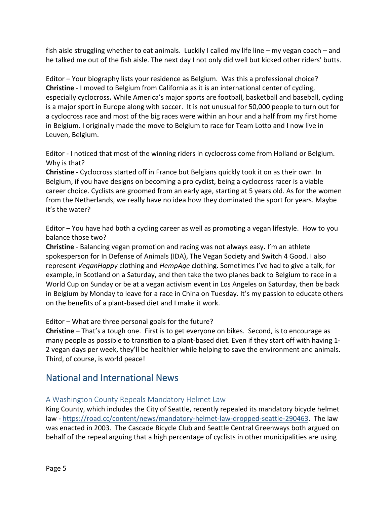fish aisle struggling whether to eat animals. Luckily I called my life line – my vegan coach – and he talked me out of the fish aisle. The next day I not only did well but kicked other riders' butts.

Editor – Your biography lists your residence as Belgium. Was this a professional choice? **Christine** - I moved to Belgium from California as it is an international center of cycling, especially cyclocross**.** While America's major sports are football, basketball and baseball, cycling is a major sport in Europe along with soccer. It is not unusual for 50,000 people to turn out for a cyclocross race and most of the big races were within an hour and a half from my first home in Belgium. I originally made the move to Belgium to race for Team Lotto and I now live in Leuven, Belgium.

Editor - I noticed that most of the winning riders in cyclocross come from Holland or Belgium. Why is that?

**Christine** - Cyclocross started off in France but Belgians quickly took it on as their own. In Belgium, if you have designs on becoming a pro cyclist, being a cyclocross racer is a viable career choice. Cyclists are groomed from an early age, starting at 5 years old. As for the women from the Netherlands, we really have no idea how they dominated the sport for years. Maybe it's the water?

Editor – You have had both a cycling career as well as promoting a vegan lifestyle. How to you balance those two?

**Christine** - Balancing vegan promotion and racing was not always easy**.** I'm an athlete spokesperson for In Defense of Animals (IDA), The Vegan Society and Switch 4 Good. I also represent *VeganHappy* clothing and *HempAge* clothing. Sometimes I've had to give a talk, for example, in Scotland on a Saturday, and then take the two planes back to Belgium to race in a World Cup on Sunday or be at a vegan activism event in Los Angeles on Saturday, then be back in Belgium by Monday to leave for a race in China on Tuesday. It's my passion to educate others on the benefits of a plant-based diet and I make it work.

### Editor – What are three personal goals for the future?

**Christine** – That's a tough one. First is to get everyone on bikes. Second, is to encourage as many people as possible to transition to a plant-based diet. Even if they start off with having 1- 2 vegan days per week, they'll be healthier while helping to save the environment and animals. Third, of course, is world peace!

### <span id="page-4-0"></span>National and International News

### <span id="page-4-1"></span>A Washington County Repeals Mandatory Helmet Law

King County, which includes the City of Seattle, recently repealed its mandatory bicycle helmet law - [https://road.cc/content/news/mandatory-helmet-law-dropped-seattle-290463.](https://road.cc/content/news/mandatory-helmet-law-dropped-seattle-290463) The law was enacted in 2003. The Cascade Bicycle Club and Seattle Central Greenways both argued on behalf of the repeal arguing that a high percentage of cyclists in other municipalities are using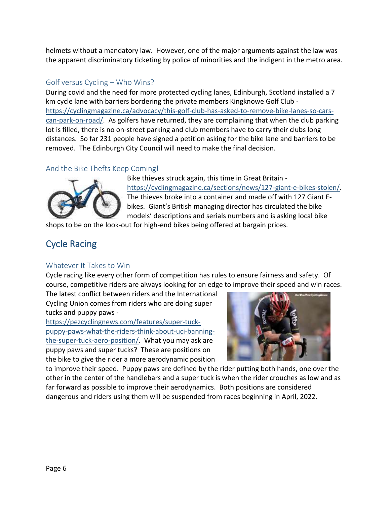helmets without a mandatory law. However, one of the major arguments against the law was the apparent discriminatory ticketing by police of minorities and the indigent in the metro area.

### <span id="page-5-0"></span>Golf versus Cycling – Who Wins?

During covid and the need for more protected cycling lanes, Edinburgh, Scotland installed a 7 km cycle lane with barriers bordering the private members Kingknowe Golf Club [https://cyclingmagazine.ca/advocacy/this-golf-club-has-asked-to-remove-bike-lanes-so-cars](https://cyclingmagazine.ca/advocacy/this-golf-club-has-asked-to-remove-bike-lanes-so-cars-can-park-on-road/)[can-park-on-road/.](https://cyclingmagazine.ca/advocacy/this-golf-club-has-asked-to-remove-bike-lanes-so-cars-can-park-on-road/) As golfers have returned, they are complaining that when the club parking lot is filled, there is no on-street parking and club members have to carry their clubs long distances. So far 231 people have signed a petition asking for the bike lane and barriers to be removed. The Edinburgh City Council will need to make the final decision.

### <span id="page-5-1"></span>And the Bike Thefts Keep Coming!



Bike thieves struck again, this time in Great Britain [https://cyclingmagazine.ca/sections/news/127-giant-e-bikes-stolen/.](https://cyclingmagazine.ca/sections/news/127-giant-e-bikes-stolen/) The thieves broke into a container and made off with 127 Giant Ebikes. Giant's British managing director has circulated the bike models' descriptions and serials numbers and is asking local bike

shops to be on the look-out for high-end bikes being offered at bargain prices.

## <span id="page-5-2"></span>Cycle Racing

### <span id="page-5-3"></span>Whatever It Takes to Win

Cycle racing like every other form of competition has rules to ensure fairness and safety. Of course, competitive riders are always looking for an edge to improve their speed and win races.

The latest conflict between riders and the International Cycling Union comes from riders who are doing super tucks and puppy paws -

[https://pezcyclingnews.com/features/super-tuck](https://pezcyclingnews.com/features/super-tuck-puppy-paws-what-the-riders-think-about-uci-banning-the-super-tuck-aero-position/)[puppy-paws-what-the-riders-think-about-uci-banning](https://pezcyclingnews.com/features/super-tuck-puppy-paws-what-the-riders-think-about-uci-banning-the-super-tuck-aero-position/)[the-super-tuck-aero-position/.](https://pezcyclingnews.com/features/super-tuck-puppy-paws-what-the-riders-think-about-uci-banning-the-super-tuck-aero-position/) What you may ask are puppy paws and super tucks? These are positions on the bike to give the rider a more aerodynamic position



to improve their speed. Puppy paws are defined by the rider putting both hands, one over the other in the center of the handlebars and a super tuck is when the rider crouches as low and as far forward as possible to improve their aerodynamics. Both positions are considered dangerous and riders using them will be suspended from races beginning in April, 2022.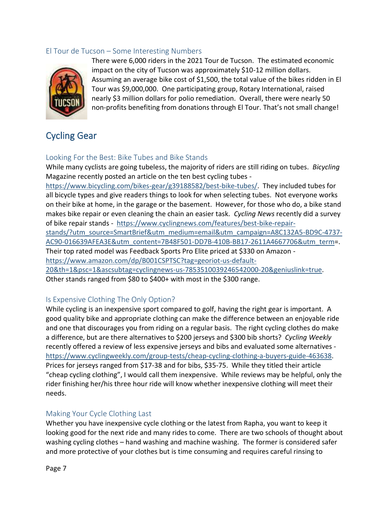### <span id="page-6-0"></span>El Tour de Tucson – Some Interesting Numbers



There were 6,000 riders in the 2021 Tour de Tucson. The estimated economic impact on the city of Tucson was approximately \$10-12 million dollars. Assuming an average bike cost of \$1,500, the total value of the bikes ridden in El Tour was \$9,000,000. One participating group, Rotary International, raised nearly \$3 million dollars for polio remediation. Overall, there were nearly 50 non-profits benefiting from donations through El Tour. That's not small change!

### <span id="page-6-1"></span>Cycling Gear

### <span id="page-6-2"></span>Looking For the Best: Bike Tubes and Bike Stands

While many cyclists are going tubeless, the majority of riders are still riding on tubes. *Bicycling*  Magazine recently posted an article on the ten best cycling tubes -

[https://www.bicycling.com/bikes-gear/g39188582/best-bike-tubes/.](https://www.bicycling.com/bikes-gear/g39188582/best-bike-tubes/) They included tubes for all bicycle types and give readers things to look for when selecting tubes. Not everyone works on their bike at home, in the garage or the basement. However, for those who do, a bike stand makes bike repair or even cleaning the chain an easier task. *Cycling News* recently did a survey of bike repair stands - [https://www.cyclingnews.com/features/best-bike-repair-](https://www.cyclingnews.com/features/best-bike-repair-stands/?utm_source=SmartBrief&utm_medium=email&utm_campaign=A8C132A5-BD9C-4737-AC90-016639AFEA3E&utm_content=7B48F501-DD7B-410B-BB17-2611A4667706&utm_term)

[stands/?utm\\_source=SmartBrief&utm\\_medium=email&utm\\_campaign=A8C132A5-BD9C-4737-](https://www.cyclingnews.com/features/best-bike-repair-stands/?utm_source=SmartBrief&utm_medium=email&utm_campaign=A8C132A5-BD9C-4737-AC90-016639AFEA3E&utm_content=7B48F501-DD7B-410B-BB17-2611A4667706&utm_term) [AC90-016639AFEA3E&utm\\_content=7B48F501-DD7B-410B-BB17-2611A4667706&utm\\_term=](https://www.cyclingnews.com/features/best-bike-repair-stands/?utm_source=SmartBrief&utm_medium=email&utm_campaign=A8C132A5-BD9C-4737-AC90-016639AFEA3E&utm_content=7B48F501-DD7B-410B-BB17-2611A4667706&utm_term). Their top rated model was Feedback Sports Pro Elite priced at \$330 on Amazon -

[https://www.amazon.com/dp/B001CSPTSC?tag=georiot-us-default-](https://www.amazon.com/dp/B001CSPTSC?tag=georiot-us-default-20&th=1&psc=1&ascsubtag=cyclingnews-us-7853510039246542000-20&geniuslink=true)

[20&th=1&psc=1&ascsubtag=cyclingnews-us-7853510039246542000-20&geniuslink=true.](https://www.amazon.com/dp/B001CSPTSC?tag=georiot-us-default-20&th=1&psc=1&ascsubtag=cyclingnews-us-7853510039246542000-20&geniuslink=true) Other stands ranged from \$80 to \$400+ with most in the \$300 range.

### <span id="page-6-3"></span>Is Expensive Clothing The Only Option?

While cycling is an inexpensive sport compared to golf, having the right gear is important. A good quality bike and appropriate clothing can make the difference between an enjoyable ride and one that discourages you from riding on a regular basis. The right cycling clothes do make a difference, but are there alternatives to \$200 jerseys and \$300 bib shorts? *Cycling Weekly*  recently offered a review of less expensive jerseys and bibs and evaluated some alternatives [https://www.cyclingweekly.com/group-tests/cheap-cycling-clothing-a-buyers-guide-463638.](https://www.cyclingweekly.com/group-tests/cheap-cycling-clothing-a-buyers-guide-463638) Prices for jerseys ranged from \$17-38 and for bibs, \$35-75. While they titled their article "cheap cycling clothing", I would call them inexpensive. While reviews may be helpful, only the rider finishing her/his three hour ride will know whether inexpensive clothing will meet their needs.

### <span id="page-6-4"></span>Making Your Cycle Clothing Last

Whether you have inexpensive cycle clothing or the latest from Rapha, you want to keep it looking good for the next ride and many rides to come. There are two schools of thought about washing cycling clothes – hand washing and machine washing. The former is considered safer and more protective of your clothes but is time consuming and requires careful rinsing to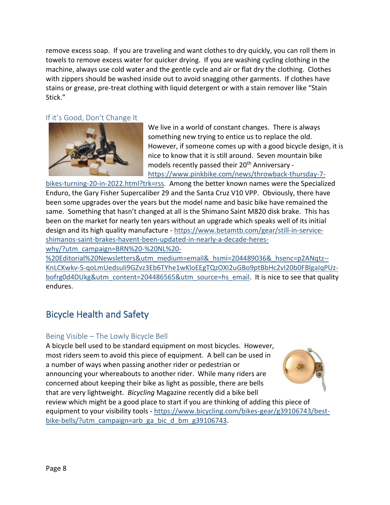remove excess soap. If you are traveling and want clothes to dry quickly, you can roll them in towels to remove excess water for quicker drying. If you are washing cycling clothing in the machine, always use cold water and the gentle cycle and air or flat dry the clothing. Clothes with zippers should be washed inside out to avoid snagging other garments. If clothes have stains or grease, pre-treat clothing with liquid detergent or with a stain remover like "Stain Stick."

#### <span id="page-7-0"></span>If it's Good, Don't Change It



We live in a world of constant changes. There is always something new trying to entice us to replace the old. However, if someone comes up with a good bicycle design, it is nice to know that it is still around. Seven mountain bike models recently passed their 20<sup>th</sup> Anniversary [https://www.pinkbike.com/news/throwback-thursday-7-](https://www.pinkbike.com/news/throwback-thursday-7-bikes-turning-20-in-2022.html?trk=rss)

[bikes-turning-20-in-2022.html?trk=rss.](https://www.pinkbike.com/news/throwback-thursday-7-bikes-turning-20-in-2022.html?trk=rss) Among the better known names were the Specialized Enduro, the Gary Fisher Supercaliber 29 and the Santa Cruz V10 VPP. Obviously, there have been some upgrades over the years but the model name and basic bike have remained the same. Something that hasn't changed at all is the Shimano Saint M820 disk brake. This has been on the market for nearly ten years without an upgrade which speaks well of its initial design and its high quality manufacture - [https://www.betamtb.com/gear/still-in-service](https://www.betamtb.com/gear/still-in-service-shimanos-saint-brakes-havent-been-updated-in-nearly-a-decade-heres-why/?utm_campaign=BRN%20-%20NL%20-%20Editorial%20Newsletters&utm_medium=email&_hsmi=204489036&_hsenc=p2ANqtz--KnLCKwkv-5-qoLmUedsuli9GZvz3Eb6TYhe1wKloEEgTQzOXI2uGBo9ptBbHc2vI20b0FBlgaIqPUz-bofrg0d4DUkg&utm_content=204486565&utm_source=hs_email)[shimanos-saint-brakes-havent-been-updated-in-nearly-a-decade-heres](https://www.betamtb.com/gear/still-in-service-shimanos-saint-brakes-havent-been-updated-in-nearly-a-decade-heres-why/?utm_campaign=BRN%20-%20NL%20-%20Editorial%20Newsletters&utm_medium=email&_hsmi=204489036&_hsenc=p2ANqtz--KnLCKwkv-5-qoLmUedsuli9GZvz3Eb6TYhe1wKloEEgTQzOXI2uGBo9ptBbHc2vI20b0FBlgaIqPUz-bofrg0d4DUkg&utm_content=204486565&utm_source=hs_email)[why/?utm\\_campaign=BRN%20-%20NL%20-](https://www.betamtb.com/gear/still-in-service-shimanos-saint-brakes-havent-been-updated-in-nearly-a-decade-heres-why/?utm_campaign=BRN%20-%20NL%20-%20Editorial%20Newsletters&utm_medium=email&_hsmi=204489036&_hsenc=p2ANqtz--KnLCKwkv-5-qoLmUedsuli9GZvz3Eb6TYhe1wKloEEgTQzOXI2uGBo9ptBbHc2vI20b0FBlgaIqPUz-bofrg0d4DUkg&utm_content=204486565&utm_source=hs_email)

[%20Editorial%20Newsletters&utm\\_medium=email&\\_hsmi=204489036&\\_hsenc=p2ANqtz--](https://www.betamtb.com/gear/still-in-service-shimanos-saint-brakes-havent-been-updated-in-nearly-a-decade-heres-why/?utm_campaign=BRN%20-%20NL%20-%20Editorial%20Newsletters&utm_medium=email&_hsmi=204489036&_hsenc=p2ANqtz--KnLCKwkv-5-qoLmUedsuli9GZvz3Eb6TYhe1wKloEEgTQzOXI2uGBo9ptBbHc2vI20b0FBlgaIqPUz-bofrg0d4DUkg&utm_content=204486565&utm_source=hs_email) [KnLCKwkv-5-qoLmUedsuli9GZvz3Eb6TYhe1wKloEEgTQzOXI2uGBo9ptBbHc2vI20b0FBlgaIqPUz](https://www.betamtb.com/gear/still-in-service-shimanos-saint-brakes-havent-been-updated-in-nearly-a-decade-heres-why/?utm_campaign=BRN%20-%20NL%20-%20Editorial%20Newsletters&utm_medium=email&_hsmi=204489036&_hsenc=p2ANqtz--KnLCKwkv-5-qoLmUedsuli9GZvz3Eb6TYhe1wKloEEgTQzOXI2uGBo9ptBbHc2vI20b0FBlgaIqPUz-bofrg0d4DUkg&utm_content=204486565&utm_source=hs_email)[bofrg0d4DUkg&utm\\_content=204486565&utm\\_source=hs\\_email.](https://www.betamtb.com/gear/still-in-service-shimanos-saint-brakes-havent-been-updated-in-nearly-a-decade-heres-why/?utm_campaign=BRN%20-%20NL%20-%20Editorial%20Newsletters&utm_medium=email&_hsmi=204489036&_hsenc=p2ANqtz--KnLCKwkv-5-qoLmUedsuli9GZvz3Eb6TYhe1wKloEEgTQzOXI2uGBo9ptBbHc2vI20b0FBlgaIqPUz-bofrg0d4DUkg&utm_content=204486565&utm_source=hs_email) It is nice to see that quality endures.

### <span id="page-7-1"></span>Bicycle Health and Safety

### <span id="page-7-2"></span>Being Visible – The Lowly Bicycle Bell

A bicycle bell used to be standard equipment on most bicycles. However, most riders seem to avoid this piece of equipment. A bell can be used in a number of ways when passing another rider or pedestrian or announcing your whereabouts to another rider. While many riders are concerned about keeping their bike as light as possible, there are bells that are very lightweight. *Bicycling* Magazine recently did a bike bell



review which might be a good place to start if you are thinking of adding this piece of equipment to your visibility tools - [https://www.bicycling.com/bikes-gear/g39106743/best](https://www.bicycling.com/bikes-gear/g39106743/best-bike-bells/?utm_campaign=arb_ga_bic_d_bm_g39106743)[bike-bells/?utm\\_campaign=arb\\_ga\\_bic\\_d\\_bm\\_g39106743.](https://www.bicycling.com/bikes-gear/g39106743/best-bike-bells/?utm_campaign=arb_ga_bic_d_bm_g39106743)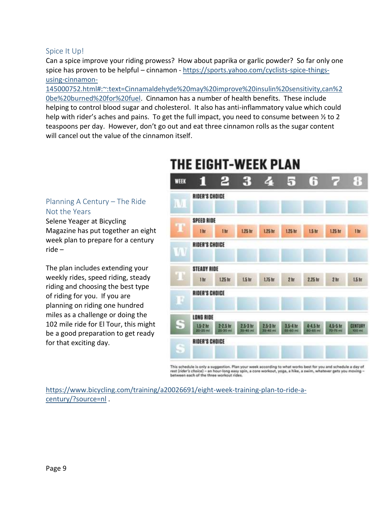#### <span id="page-8-0"></span>Spice It Up!

<span id="page-8-2"></span><span id="page-8-1"></span>Planning A Century – The Ride

Magazine has put together an eight week plan to prepare for a century

The plan includes extending your weekly rides, speed riding, steady riding and choosing the best type

of riding for you. If you are planning on riding one hundred miles as a challenge or doing the 102 mile ride for El Tour, this might be a good preparation to get ready

for that exciting day.

Selene Yeager at Bicycling

Not the Years

ride –

Can a spice improve your riding prowess? How about paprika or garlic powder? So far only one spice has proven to be helpful – cinnamon - [https://sports.yahoo.com/cyclists-spice-things](https://sports.yahoo.com/cyclists-spice-things-using-cinnamon-145000752.html#:~:text=Cinnamaldehyde%20may%20improve%20insulin%20sensitivity,can%20be%20burned%20for%20fuel)[using-cinnamon-](https://sports.yahoo.com/cyclists-spice-things-using-cinnamon-145000752.html#:~:text=Cinnamaldehyde%20may%20improve%20insulin%20sensitivity,can%20be%20burned%20for%20fuel)

[145000752.html#:~:text=Cinnamaldehyde%20may%20improve%20insulin%20sensitivity,can%2](https://sports.yahoo.com/cyclists-spice-things-using-cinnamon-145000752.html#:~:text=Cinnamaldehyde%20may%20improve%20insulin%20sensitivity,can%20be%20burned%20for%20fuel) [0be%20burned%20for%20fuel.](https://sports.yahoo.com/cyclists-spice-things-using-cinnamon-145000752.html#:~:text=Cinnamaldehyde%20may%20improve%20insulin%20sensitivity,can%20be%20burned%20for%20fuel) Cinnamon has a number of health benefits. These include helping to control blood sugar and cholesterol. It also has anti-inflammatory value which could help with rider's aches and pains. To get the full impact, you need to consume between  $\frac{1}{2}$  to 2 teaspoons per day. However, don't go out and eat three cinnamon rolls as the sugar content will cancel out the value of the cinnamon itself.

#### WEEK f. т **RIDER'S CHOICE** W **SPEED RIDE** 1hr 1.25 hr  $1.25<sub>h</sub>$  $1.25<sub>hr</sub>$ 1.25 hr 1hr  $1.5<sub>hr</sub>$ 1b **RIDER'S CHOICE STEADY RIDE** 1 br 1.25 hr LS br  $1.75$  for  $2<sub>b</sub>$  $2.25h$  $2<sub>h</sub>$ LS ht **RIDER'S CHOICE** LONG RIDE  $15-2$  hr  $2-2.5$  hr  $25-3$  ht  $2.5-3$  hr  $3.5 - 4 h$  $4-4.5$  ht 4.5-5 hr CENTURY **RIDER'S CHOICE**

This schedule is only a suggestion. Plan your week according to what works best for you and schedule a day of rest (rider's choice) – an hour-long easy spin, a core workout, yoga, a hike, a swim, whatever gets you moving<br>between each of the three workout rides.

[https://www.bicycling.com/training/a20026691/eight-week-training-plan-to-ride-a](https://www.bicycling.com/training/a20026691/eight-week-training-plan-to-ride-a-century/?source=nl)[century/?source=nl](https://www.bicycling.com/training/a20026691/eight-week-training-plan-to-ride-a-century/?source=nl) .

## THE EIGHT-WEEK PLAN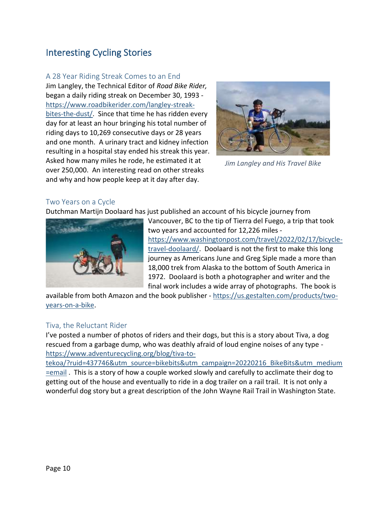### <span id="page-9-0"></span>Interesting Cycling Stories

#### <span id="page-9-1"></span>A 28 Year Riding Streak Comes to an End

Jim Langley, the Technical Editor of *Road Bike Rider,*  began a daily riding streak on December 30, 1993 [https://www.roadbikerider.com/langley-streak](https://www.roadbikerider.com/langley-streak-bites-the-dust/)[bites-the-dust/.](https://www.roadbikerider.com/langley-streak-bites-the-dust/) Since that time he has ridden every day for at least an hour bringing his total number of riding days to 10,269 consecutive days or 28 years and one month. A urinary tract and kidney infection resulting in a hospital stay ended his streak this year. Asked how many miles he rode, he estimated it at over 250,000. An interesting read on other streaks and why and how people keep at it day after day.



*Jim Langley and His Travel Bike*

### <span id="page-9-2"></span>Two Years on a Cycle

Dutchman Martijn Doolaard has just published an account of his bicycle journey from



Vancouver, BC to the tip of Tierra del Fuego, a trip that took two years and accounted for 12,226 miles [https://www.washingtonpost.com/travel/2022/02/17/bicycle](https://www.washingtonpost.com/travel/2022/02/17/bicycle-travel-doolaard/)[travel-doolaard/.](https://www.washingtonpost.com/travel/2022/02/17/bicycle-travel-doolaard/) Doolaard is not the first to make this long journey as Americans June and Greg Siple made a more than 18,000 trek from Alaska to the bottom of South America in 1972. Doolaard is both a photographer and writer and the final work includes a wide array of photographs. The book is

available from both Amazon and the book publisher - [https://us.gestalten.com/products/two](https://us.gestalten.com/products/two-years-on-a-bike)[years-on-a-bike.](https://us.gestalten.com/products/two-years-on-a-bike)

### <span id="page-9-3"></span>Tiva, the Reluctant Rider

I've posted a number of photos of riders and their dogs, but this is a story about Tiva, a dog rescued from a garbage dump, who was deathly afraid of loud engine noises of any type [https://www.adventurecycling.org/blog/tiva-to-](https://www.adventurecycling.org/blog/tiva-to-tekoa/?ruid=437746&utm_source=bikebits&utm_campaign=20220216_BikeBits&utm_medium=email)

[tekoa/?ruid=437746&utm\\_source=bikebits&utm\\_campaign=20220216\\_BikeBits&utm\\_medium](https://www.adventurecycling.org/blog/tiva-to-tekoa/?ruid=437746&utm_source=bikebits&utm_campaign=20220216_BikeBits&utm_medium=email) [=email](https://www.adventurecycling.org/blog/tiva-to-tekoa/?ruid=437746&utm_source=bikebits&utm_campaign=20220216_BikeBits&utm_medium=email) . This is a story of how a couple worked slowly and carefully to acclimate their dog to getting out of the house and eventually to ride in a dog trailer on a rail trail. It is not only a wonderful dog story but a great description of the John Wayne Rail Trail in Washington State.